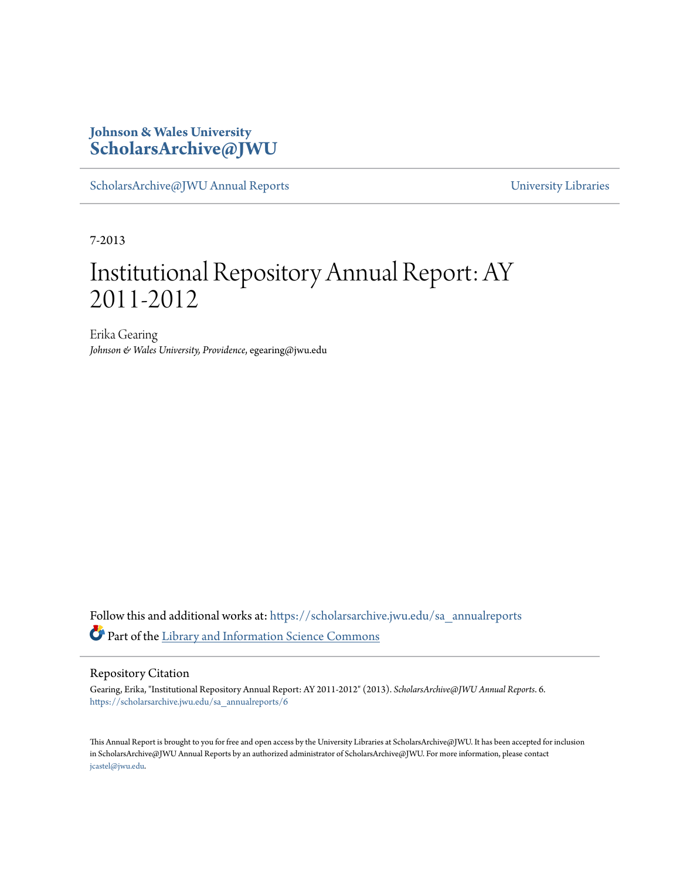### **Johnson & Wales University [ScholarsArchive@JWU](https://scholarsarchive.jwu.edu?utm_source=scholarsarchive.jwu.edu%2Fsa_annualreports%2F6&utm_medium=PDF&utm_campaign=PDFCoverPages)**

[ScholarsArchive@JWU Annual Reports](https://scholarsarchive.jwu.edu/sa_annualreports?utm_source=scholarsarchive.jwu.edu%2Fsa_annualreports%2F6&utm_medium=PDF&utm_campaign=PDFCoverPages) **Example 2018** [University Libraries](https://scholarsarchive.jwu.edu/University_Libraries?utm_source=scholarsarchive.jwu.edu%2Fsa_annualreports%2F6&utm_medium=PDF&utm_campaign=PDFCoverPages)

7-2013

## Institutional Repository Annual Report: AY 2011-2012

Erika Gearing *Johnson & Wales University, Providence*, egearing@jwu.edu

Follow this and additional works at: [https://scholarsarchive.jwu.edu/sa\\_annualreports](https://scholarsarchive.jwu.edu/sa_annualreports?utm_source=scholarsarchive.jwu.edu%2Fsa_annualreports%2F6&utm_medium=PDF&utm_campaign=PDFCoverPages) Part of the [Library and Information Science Commons](http://network.bepress.com/hgg/discipline/1018?utm_source=scholarsarchive.jwu.edu%2Fsa_annualreports%2F6&utm_medium=PDF&utm_campaign=PDFCoverPages)

#### Repository Citation

Gearing, Erika, "Institutional Repository Annual Report: AY 2011-2012" (2013). *ScholarsArchive@JWU Annual Reports*. 6. [https://scholarsarchive.jwu.edu/sa\\_annualreports/6](https://scholarsarchive.jwu.edu/sa_annualreports/6?utm_source=scholarsarchive.jwu.edu%2Fsa_annualreports%2F6&utm_medium=PDF&utm_campaign=PDFCoverPages)

This Annual Report is brought to you for free and open access by the University Libraries at ScholarsArchive@JWU. It has been accepted for inclusion in ScholarsArchive@JWU Annual Reports by an authorized administrator of ScholarsArchive@JWU. For more information, please contact [jcastel@jwu.edu.](mailto:jcastel@jwu.edu)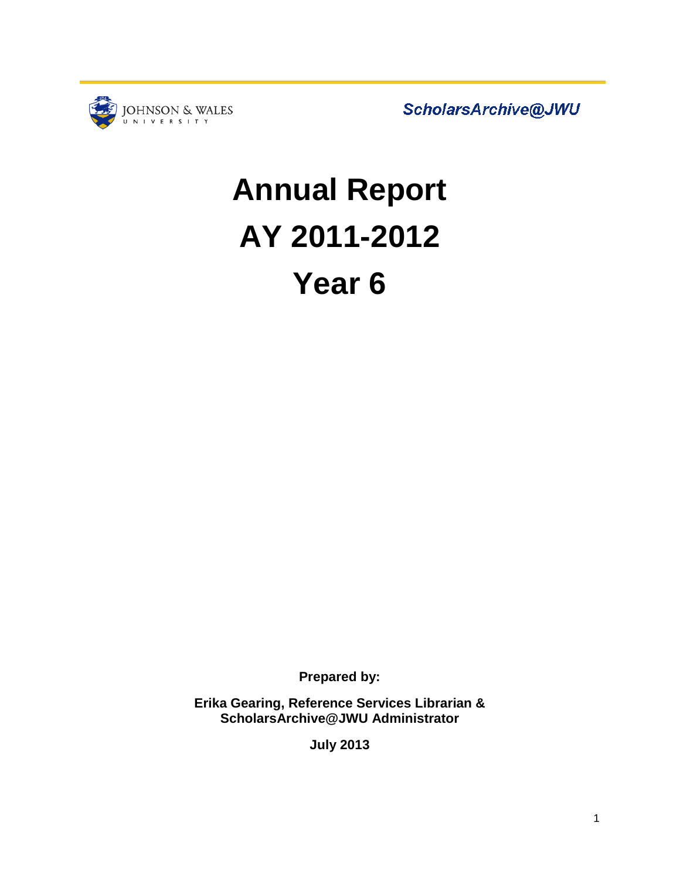

ScholarsArchive@JWU

# **Annual Report AY 2011-2012 Year 6**

**Prepared by:**

**Erika Gearing, Reference Services Librarian & ScholarsArchive@JWU Administrator**

**July 2013**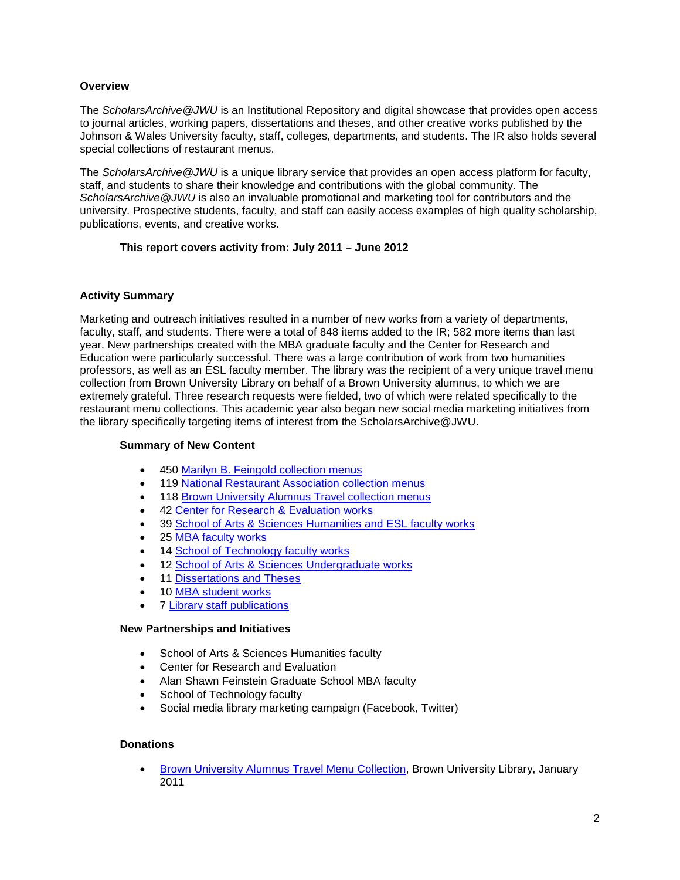#### **Overview**

The *ScholarsArchive@JWU* is an Institutional Repository and digital showcase that provides open access to journal articles, working papers, dissertations and theses, and other creative works published by the Johnson & Wales University faculty, staff, colleges, departments, and students. The IR also holds several special collections of restaurant menus.

The *ScholarsArchive@JWU* is a unique library service that provides an open access platform for faculty, staff, and students to share their knowledge and contributions with the global community. The *ScholarsArchive@JWU* is also an invaluable promotional and marketing tool for contributors and the university. Prospective students, faculty, and staff can easily access examples of high quality scholarship, publications, events, and creative works.

#### **This report covers activity from: July 2011 – June 2012**

#### **Activity Summary**

Marketing and outreach initiatives resulted in a number of new works from a variety of departments, faculty, staff, and students. There were a total of 848 items added to the IR; 582 more items than last year. New partnerships created with the MBA graduate faculty and the Center for Research and Education were particularly successful. There was a large contribution of work from two humanities professors, as well as an ESL faculty member. The library was the recipient of a very unique travel menu collection from Brown University Library on behalf of a Brown University alumnus, to which we are extremely grateful. Three research requests were fielded, two of which were related specifically to the restaurant menu collections. This academic year also began new social media marketing initiatives from the library specifically targeting items of interest from the ScholarsArchive@JWU.

#### **Summary of New Content**

- 450 [Marilyn B. Feingold collection menus](http://scholarsarchive.jwu.edu/mbf_collection/)
- 119 [National Restaurant Association collection menus](http://scholarsarchive.jwu.edu/menus/)
- 118 [Brown University Alumnus Travel collection menus](http://scholarsarchive.jwu.edu/brownuniversity_alumnus_menus/)
- 42 [Center for Research & Evaluation works](http://scholarsarchive.jwu.edu/research/)
- 39 [School of Arts & Sciences Humanities and ESL](http://scholarsarchive.jwu.edu/arts_sciences/) faculty works
- 25 [MBA faculty works](http://scholarsarchive.jwu.edu/mba_fac/)
- 14 [School of Technology faculty works](http://scholarsarchive.jwu.edu/sot/)
- 12 [School of Arts & Sciences Undergraduate works](http://scholarsarchive.jwu.edu/student_scholarship/)
- 11 [Dissertations and Theses](http://scholarsarchive.jwu.edu/dissertations/)
- 10 [MBA student works](http://scholarsarchive.jwu.edu/mba_student/)
- 7 [Library staff publications](http://scholarsarchive.jwu.edu/staff_pub/)

#### **New Partnerships and Initiatives**

- School of Arts & Sciences Humanities faculty
- Center for Research and Evaluation
- Alan Shawn Feinstein Graduate School MBA faculty
- School of Technology faculty
- Social media library marketing campaign (Facebook, Twitter)

#### **Donations**

• [Brown University Alumnus Travel Menu Collection,](http://scholarsarchive.jwu.edu/brownuniversity_alumnus_menus/) Brown University Library, January 2011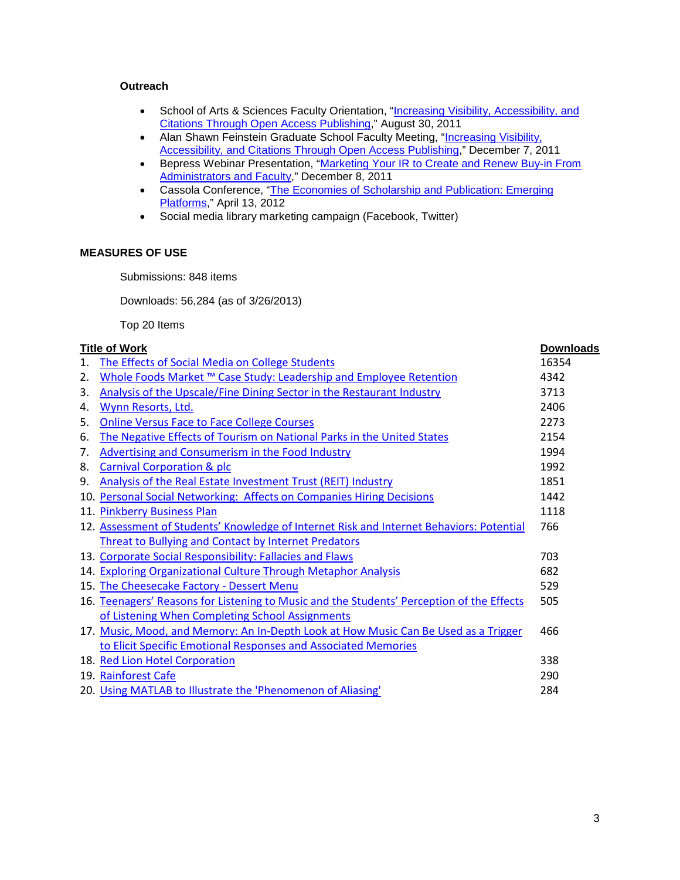#### **Outreach**

- School of Arts & Sciences Faculty Orientation, "Increasing Visibility, Accessibility, and [Citations Through Open Access Publishing,](http://scholarsarchive.jwu.edu/staff_pub/20/)" August 30, 2011
- Alan Shawn Feinstein Graduate School Faculty Meeting, "Increasing Visibility, [Accessibility, and Citations Through Open Access Publishing,](http://scholarsarchive.jwu.edu/staff_pub/14/)" December 7, 2011
- Bepress Webinar Presentation, "Marketing Your IR to Create and Renew Buy-in From [Administrators and Faculty,](http://scholarsarchive.jwu.edu/staff_pub/15/)" December 8, 2011
- Cassola Conference, ["The Economies of Scholarship and Publication: Emerging](http://scholarsarchive.jwu.edu/staff_pub/16/)  [Platforms,](http://scholarsarchive.jwu.edu/staff_pub/16/)" April 13, 2012
- Social media library marketing campaign (Facebook, Twitter)

#### **MEASURES OF USE**

Submissions: 848 items

Downloads: 56,284 (as of 3/26/2013)

Top 20 Items

#### **Title of Work Downloads**

| 1.  | The Effects of Social Media on College Students                                           | 16354 |
|-----|-------------------------------------------------------------------------------------------|-------|
| 2.  | Whole Foods Market ™ Case Study: Leadership and Employee Retention                        | 4342  |
| 3.  | Analysis of the Upscale/Fine Dining Sector in the Restaurant Industry                     | 3713  |
| 4.  | Wynn Resorts, Ltd.                                                                        | 2406  |
| 5.  | <b>Online Versus Face to Face College Courses</b>                                         | 2273  |
| 6.  | The Negative Effects of Tourism on National Parks in the United States                    | 2154  |
| 7.  | <b>Advertising and Consumerism in the Food Industry</b>                                   | 1994  |
| 8.  | <b>Carnival Corporation &amp; plc</b>                                                     | 1992  |
| 9.  | Analysis of the Real Estate Investment Trust (REIT) Industry                              | 1851  |
| 10. | <b>Personal Social Networking: Affects on Companies Hiring Decisions</b>                  | 1442  |
|     | 11. Pinkberry Business Plan                                                               | 1118  |
|     | 12. Assessment of Students' Knowledge of Internet Risk and Internet Behaviors: Potential  | 766   |
|     | <b>Threat to Bullying and Contact by Internet Predators</b>                               |       |
|     | 13. Corporate Social Responsibility: Fallacies and Flaws                                  | 703   |
|     | 14. Exploring Organizational Culture Through Metaphor Analysis                            | 682   |
|     | 15. The Cheesecake Factory - Dessert Menu                                                 | 529   |
|     | 16. Teenagers' Reasons for Listening to Music and the Students' Perception of the Effects | 505   |
|     | of Listening When Completing School Assignments                                           |       |
|     | 17. Music, Mood, and Memory: An In-Depth Look at How Music Can Be Used as a Trigger       | 466   |
|     | to Elicit Specific Emotional Responses and Associated Memories                            |       |
|     | 18. Red Lion Hotel Corporation                                                            | 338   |
|     | 19. Rainforest Cafe                                                                       | 290   |
|     | 20. Using MATLAB to Illustrate the 'Phenomenon of Aliasing'                               | 284   |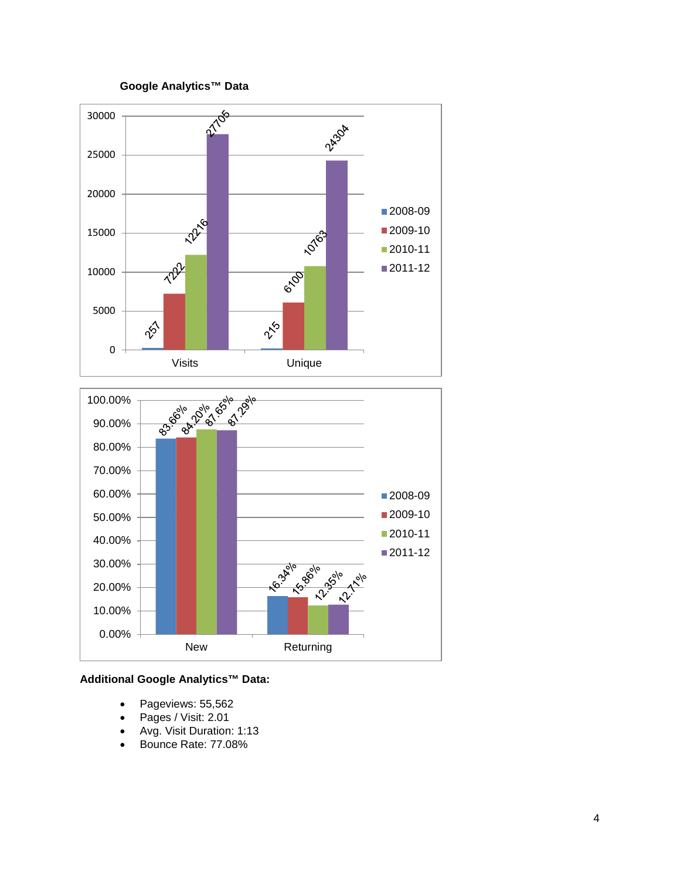#### **Google Analytics™ Data**



#### **Additional Google Analytics™ Data:**

- Pageviews: 55,562
- Pages / Visit: 2.01
- Avg. Visit Duration: 1:13
- Bounce Rate: 77.08%